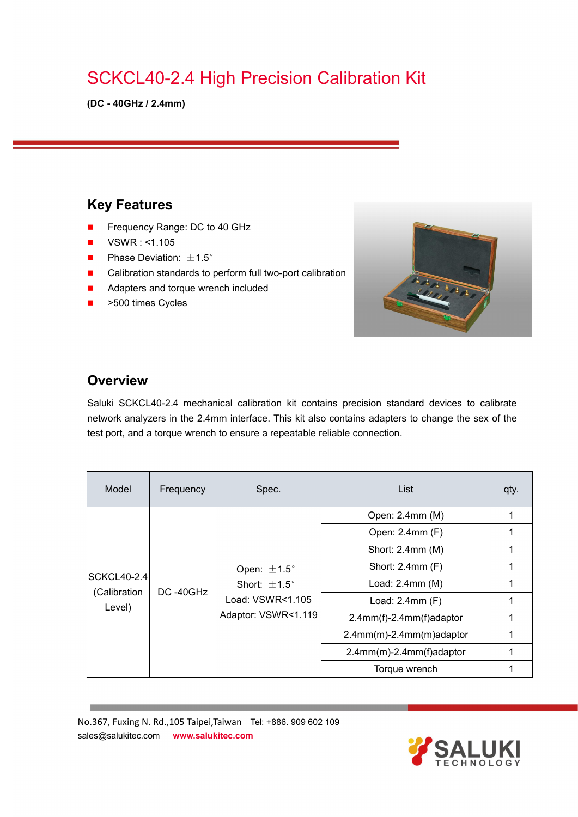# SCKCL40-2.4 High Precision Calibration Kit

**(DC - 40GHz / 2.4mm)**

### **Key Features**

- Frequency Range: DC to 40 GHz
- $\blacksquare$  VSWR : <1.105
- **Phase Deviation:**  $\pm 1.5^{\circ}$
- Calibration standards to perform full two-port calibration
- **Adapters and torque wrench included**
- >500 times Cycles



#### **Overview**

Saluki SCKCL40-2.4 mechanical calibration kit contains precision standard devices to calibrate network analyzers in the 2.4mm interface. This kit also contains adapters to change the sex of the test port, and a torque wrench to ensure a repeatable reliable connection.

| Model                                        | Frequency | Spec.                                                                                          | List                        | qty. |
|----------------------------------------------|-----------|------------------------------------------------------------------------------------------------|-----------------------------|------|
| <b>SCKCL40-2.4</b><br>(Calibration<br>Level) | DC-40GHz  | Open: $\pm 1.5^{\circ}$<br>Short: $\pm 1.5^{\circ}$<br>Load: VSWR<1.105<br>Adaptor: VSWR<1.119 | Open: 2.4mm (M)             | 1    |
|                                              |           |                                                                                                | Open: 2.4mm (F)             |      |
|                                              |           |                                                                                                | Short: 2.4mm (M)            |      |
|                                              |           |                                                                                                | Short: 2.4mm (F)            |      |
|                                              |           |                                                                                                | Load: 2.4mm (M)             |      |
|                                              |           |                                                                                                | Load: 2.4mm (F)             |      |
|                                              |           |                                                                                                | 2.4mm(f)-2.4mm(f)adaptor    |      |
|                                              |           |                                                                                                | $2.4mm(m)-2.4mm(m)$ adaptor |      |
|                                              |           |                                                                                                | 2.4mm(m)-2.4mm(f)adaptor    |      |
|                                              |           |                                                                                                | Torque wrench               |      |